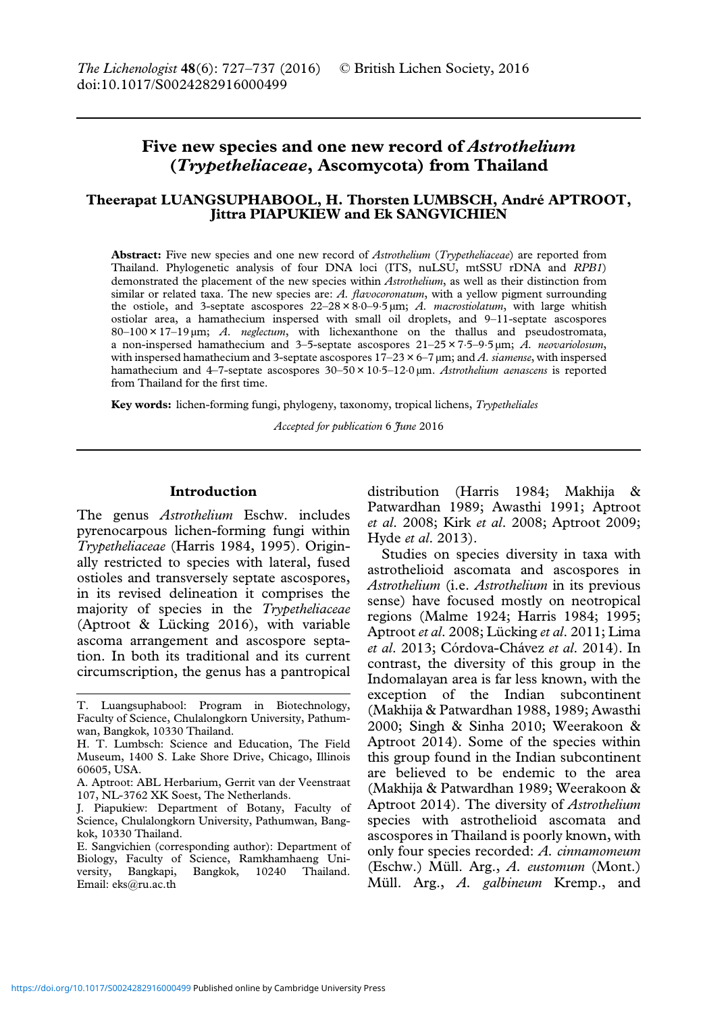# Five new species and one new record of Astrothelium (Trypetheliaceae, Ascomycota) from Thailand

# Theerapat LUANGSUPHABOOL, H. Thorsten LUMBSCH, André APTROOT, Jittra PIAPUKIEW and Ek SANGVICHIEN

Abstract: Five new species and one new record of Astrothelium (Trypetheliaceae) are reported from Thailand. Phylogenetic analysis of four DNA loci (ITS, nuLSU, mtSSU rDNA and RPB1) demonstrated the placement of the new species within Astrothelium, as well as their distinction from similar or related taxa. The new species are:  $A$ . *flavocoronatum*, with a yellow pigment surrounding the ostiole, and 3-septate ascospores  $22-28 \times 8.0-9.5 \mu m$ ; A. macrostiolatum, with large whitish ostiolar area, a hamathecium inspersed with small oil droplets, and 9–11-septate ascospores  $80-100 \times 17-19$  µm; A. neglectum, with lichexanthone on the thallus and pseudostromata, a non-inspersed hamathecium and 3-5-septate ascospores  $21-25 \times 7.5-9.5 \mu m$ ; A. neovariolosum, with inspersed hamathecium and 3-septate ascospores  $17-23 \times 6-7$  µm; and A. siamense, with inspersed hamathecium and 4–7-septate ascospores  $30-50 \times 10.5-12.0 \mu m$ . Astrothelium aenascens is reported from Thailand for the first time.

Key words: lichen-forming fungi, phylogeny, taxonomy, tropical lichens, Trypetheliales

Accepted for publication 6 June 2016

# Introduction

The genus Astrothelium Eschw. includes pyrenocarpous lichen-forming fungi within Trypetheliaceae (Harris [1984](#page-10-0), [1995](#page-10-0)). Originally restricted to species with lateral, fused ostioles and transversely septate ascospores, in its revised delineation it comprises the majority of species in the Trypetheliaceae (Aptroot & Lücking [2016](#page-9-0)), with variable ascoma arrangement and ascospore septation. In both its traditional and its current circumscription, the genus has a pantropical

distribution (Harris [1984](#page-10-0); Makhija & Patwardhan [1989;](#page-10-0) Awasthi [1991;](#page-10-0) Aptroot et al. [2008](#page-9-0); Kirk et al. [2008;](#page-10-0) Aptroot [2009](#page-9-0); Hyde et al. [2013](#page-10-0)).

Studies on species diversity in taxa with astrothelioid ascomata and ascospores in Astrothelium (i.e. Astrothelium in its previous sense) have focused mostly on neotropical regions (Malme [1924](#page-10-0); Harris [1984; 1995](#page-10-0); Aptroot et al. [2008;](#page-9-0) Lücking et al. [2011;](#page-10-0) Lima et al. [2013](#page-10-0); Córdova-Chávez et al. [2014](#page-10-0)). In contrast, the diversity of this group in the Indomalayan area is far less known, with the exception of the Indian subcontinent (Makhija & Patwardhan [1988](#page-10-0), [1989;](#page-10-0) Awasthi [2000;](#page-10-0) Singh & Sinha [2010](#page-10-0); Weerakoon & Aptroot [2014\)](#page-10-0). Some of the species within this group found in the Indian subcontinent are believed to be endemic to the area (Makhija & Patwardhan [1989;](#page-10-0) Weerakoon & Aptroot [2014\)](#page-10-0). The diversity of Astrothelium species with astrothelioid ascomata and ascospores in Thailand is poorly known, with only four species recorded: A. cinnamomeum (Eschw.) Müll. Arg., A. eustomum (Mont.) Müll. Arg., A. galbineum Kremp., and

T. Luangsuphabool: Program in Biotechnology, Faculty of Science, Chulalongkorn University, Pathumwan, Bangkok, 10330 Thailand.

H. T. Lumbsch: Science and Education, The Field Museum, 1400 S. Lake Shore Drive, Chicago, Illinois 60605, USA.

A. Aptroot: ABL Herbarium, Gerrit van der Veenstraat 107, NL-3762 XK Soest, The Netherlands.

J. Piapukiew: Department of Botany, Faculty of Science, Chulalongkorn University, Pathumwan, Bangkok, 10330 Thailand.

E. Sangvichien (corresponding author): Department of Biology, Faculty of Science, Ramkhamhaeng Uni-Bangkapi, Bangkok, 10240 Thailand. Email: [eks@ru.ac.th](mailto:eks@ru.ac.th)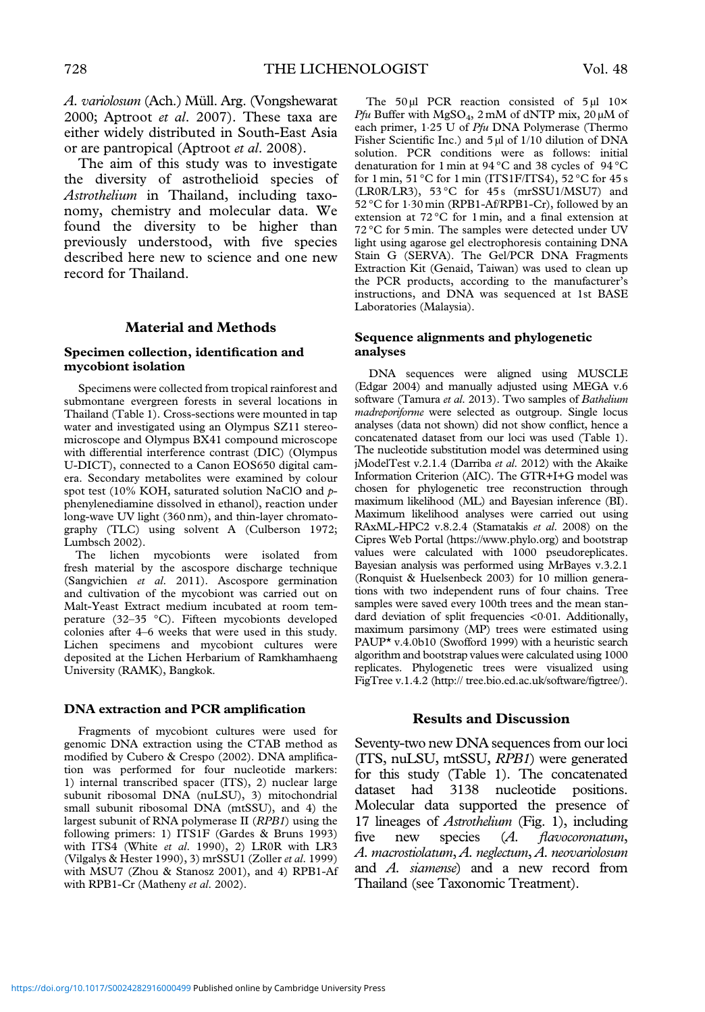A. variolosum (Ach.) Müll. Arg. (Vongshewarat [2000](#page-10-0); Aptroot et al. [2007\)](#page-9-0). These taxa are either widely distributed in South-East Asia or are pantropical (Aptroot et al. [2008](#page-9-0)).

The aim of this study was to investigate the diversity of astrothelioid species of Astrothelium in Thailand, including taxonomy, chemistry and molecular data. We found the diversity to be higher than previously understood, with five species described here new to science and one new record for Thailand.

# Material and Methods

#### Specimen collection, identification and mycobiont isolation

Specimens were collected from tropical rainforest and submontane evergreen forests in several locations in Thailand ([Table 1\)](#page-2-0). Cross-sections were mounted in tap water and investigated using an Olympus SZ11 stereomicroscope and Olympus BX41 compound microscope with differential interference contrast (DIC) (Olympus U-DICT), connected to a Canon EOS650 digital camera. Secondary metabolites were examined by colour spot test (10% KOH, saturated solution NaClO and pphenylenediamine dissolved in ethanol), reaction under long-wave UV light (360 nm), and thin-layer chromatography (TLC) using solvent A (Culberson [1972;](#page-10-0) Lumbsch [2002\)](#page-10-0).

The lichen mycobionts were isolated from fresh material by the ascospore discharge technique (Sangvichien et al. [2011](#page-10-0)). Ascospore germination and cultivation of the mycobiont was carried out on Malt-Yeast Extract medium incubated at room temperature (32–35 °C). Fifteen mycobionts developed colonies after 4–6 weeks that were used in this study. Lichen specimens and mycobiont cultures were deposited at the Lichen Herbarium of Ramkhamhaeng University (RAMK), Bangkok.

#### DNA extraction and PCR amplification

Fragments of mycobiont cultures were used for genomic DNA extraction using the CTAB method as modified by Cubero & Crespo [\(2002\)](#page-10-0). DNA amplification was performed for four nucleotide markers: 1) internal transcribed spacer (ITS), 2) nuclear large subunit ribosomal DNA (nuLSU), 3) mitochondrial small subunit ribosomal DNA (mtSSU), and 4) the largest subunit of RNA polymerase II (RPB1) using the following primers: 1) ITS1F (Gardes & Bruns [1993](#page-10-0)) with ITS4 (White et al. [1990\)](#page-10-0), 2) LR0R with LR3 (Vilgalys & Hester [1990\)](#page-10-0), 3) mrSSU1 (Zoller et al. [1999](#page-10-0)) with MSU7 (Zhou & Stanosz [2001\)](#page-10-0), and 4) RPB1-Af with RPB1-Cr (Matheny et al. [2002](#page-10-0)).

The  $50 \mu l$  PCR reaction consisted of  $5 \mu l$  10× Pfu Buffer with  $MgSO_4$ , 2 mM of dNTP mix, 20 µM of each primer, 1·25 U of Pfu DNA Polymerase (Thermo Fisher Scientific Inc.) and 5 µl of 1/10 dilution of DNA solution. PCR conditions were as follows: initial denaturation for 1 min at 94 °C and 38 cycles of 94 °C for 1 min,  $51^{\circ}$ C for 1 min (ITS1F/ITS4),  $52^{\circ}$ C for  $45s$ (LR0R/LR3), 53 °C for 45 s (mrSSU1/MSU7) and 52 °C for 1·30 min (RPB1-Af/RPB1-Cr), followed by an extension at 72 °C for 1 min, and a final extension at 72 °C for 5 min. The samples were detected under UV light using agarose gel electrophoresis containing DNA Stain G (SERVA). The Gel/PCR DNA Fragments Extraction Kit (Genaid, Taiwan) was used to clean up the PCR products, according to the manufacturer's instructions, and DNA was sequenced at 1st BASE Laboratories (Malaysia).

#### Sequence alignments and phylogenetic analyses

DNA sequences were aligned using MUSCLE (Edgar [2004](#page-10-0)) and manually adjusted using MEGA v.6 software (Tamura et al. [2013](#page-10-0)). Two samples of Bathelium madreporiforme were selected as outgroup. Single locus analyses (data not shown) did not show conflict, hence a concatenated dataset from our loci was used [\(Table 1](#page-2-0)). The nucleotide substitution model was determined using jModelTest v.2.1.4 (Darriba et al. [2012](#page-10-0)) with the Akaike Information Criterion (AIC). The GTR+I+G model was chosen for phylogenetic tree reconstruction through maximum likelihood (ML) and Bayesian inference (BI). Maximum likelihood analyses were carried out using RAxML-HPC2 v.8.2.4 (Stamatakis et al. [2008](#page-10-0)) on the Cipres Web Portal [\(https://www.phylo.org](https://www.phylo.org)) and bootstrap values were calculated with 1000 pseudoreplicates. Bayesian analysis was performed using MrBayes v.3.2.1 (Ronquist & Huelsenbeck [2003](#page-10-0)) for 10 million generations with two independent runs of four chains. Tree samples were saved every 100th trees and the mean standard deviation of split frequencies <0·01. Additionally, maximum parsimony (MP) trees were estimated using PAUP\* v.4.0b10 (Swofford [1999\)](#page-10-0) with a heuristic search algorithm and bootstrap values were calculated using 1000 replicates. Phylogenetic trees were visualized using FigTree v.1.4.2 [\(http:// tree.bio.ed.ac.uk/software/](http:// tree.bio.ed.ac.uk/software/figtree/)figtree/).

#### Results and Discussion

Seventy-two new DNA sequences from our loci (ITS, nuLSU, mtSSU, RPB1) were generated for this study [\(Table 1\)](#page-2-0). The concatenated dataset had 3138 nucleotide positions. Molecular data supported the presence of 17 lineages of Astrothelium ([Fig. 1\)](#page-3-0), including five new species (A. flavocoronatum, A. macrostiolatum, A. neglectum, A. neovariolosum and A. siamense) and a new record from Thailand (see Taxonomic Treatment).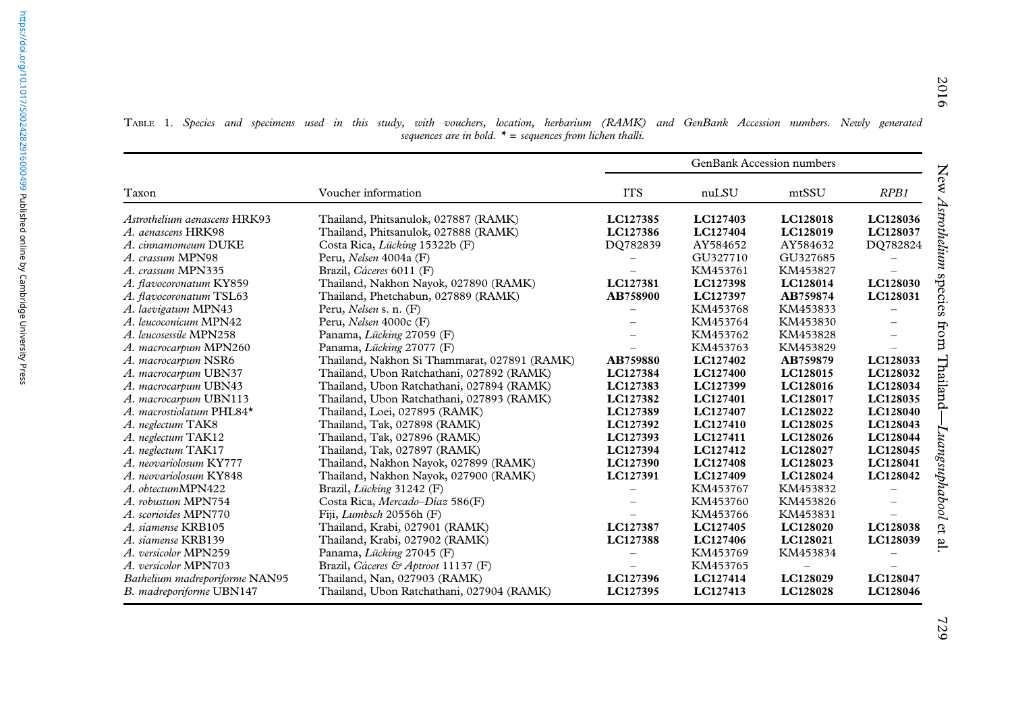Astrothelium

species from Thailand—

New Astrothelium species from Thailand-Luangsuphabool et al.

Luangsuphabool

| Taxon                          | Voucher information                          | <b>GenBank Accession numbers</b> |          |          |            |
|--------------------------------|----------------------------------------------|----------------------------------|----------|----------|------------|
|                                |                                              | <b>ITS</b>                       | nuLSU    | mtSSU    | $R$ $P B1$ |
| Astrothelium aenascens HRK93   | Thailand, Phitsanulok, 027887 (RAMK)         | LC127385                         | LC127403 | LC128018 | LC128036   |
| A. aenascens HRK98             | Thailand, Phitsanulok, 027888 (RAMK)         | LC127386                         | LC127404 | LC128019 | LC128037   |
| A. cinnamomeum DUKE            | Costa Rica, Lücking 15322b (F)               | DO782839                         | AY584652 | AY584632 | DQ782824   |
| A. crassum MPN98               | Peru, Nelsen 4004a (F)                       |                                  | GU327710 | GU327685 |            |
| A. crassum MPN335              | Brazil, Cáceres 6011 (F)                     |                                  | KM453761 | KM453827 |            |
| A. flavocoronatum KY859        | Thailand, Nakhon Nayok, 027890 (RAMK)        | LC127381                         | LC127398 | LC128014 | LC128030   |
| A. flavocoronatum TSL63        | Thailand, Phetchabun, 027889 (RAMK)          | AB758900                         | LC127397 | AB759874 | LC128031   |
| A. laevigatum MPN43            | Peru, Nelsen s. n. (F)                       |                                  | KM453768 | KM453833 |            |
| A. leucoconicum MPN42          | Peru, Nelsen 4000c (F)                       |                                  | KM453764 | KM453830 |            |
| A. leucosessile MPN258         | Panama, Lücking 27059 (F)                    |                                  | KM453762 | KM453828 |            |
| A. macrocarpum MPN260          | Panama, Lücking 27077 (F)                    |                                  | KM453763 | KM453829 |            |
| A. macrocarpum NSR6            | Thailand, Nakhon Si Thammarat, 027891 (RAMK) | AB759880                         | LC127402 | AB759879 | LC128033   |
| A. macrocarpum UBN37           | Thailand, Ubon Ratchathani, 027892 (RAMK)    | LC127384                         | LC127400 | LC128015 | LC128032   |
| A. macrocarpum UBN43           | Thailand, Ubon Ratchathani, 027894 (RAMK)    | LC127383                         | LC127399 | LC128016 | LC128034   |
| A. macrocarpum UBN113          | Thailand, Ubon Ratchathani, 027893 (RAMK)    | LC127382                         | LC127401 | LC128017 | LC128035   |
| A. macrostiolatum PHI $84*$    | Thailand, Loei, 027895 (RAMK)                | LC127389                         | LC127407 | LC128022 | LC128040   |
| A. neglectum TAK8              | Thailand, Tak, 027898 (RAMK)                 | LC127392                         | LC127410 | LC128025 | LC128043   |
| A. neglectum TAK12             | Thailand, Tak, 027896 (RAMK)                 | LC127393                         | LC127411 | LC128026 | LC128044   |
| A. neglectum TAK17             | Thailand, Tak, 027897 (RAMK)                 | LC127394                         | LC127412 | LC128027 | LC128045   |
| A. neovariolosum KY777         | Thailand, Nakhon Nayok, 027899 (RAMK)        | LC127390                         | LC127408 | LC128023 | LC128041   |
| A. neovariolosum KY848         | Thailand, Nakhon Nayok, 027900 (RAMK)        | LC127391                         | LC127409 | LC128024 | LC128042   |
| A. obtectumMPN422              | Brazil, Lücking 31242 (F)                    |                                  | KM453767 | KM453832 |            |
| A. robustum MPN754             | Costa Rica, Mercado-Díaz 586(F)              |                                  | KM453760 | KM453826 |            |
| A. scorioides MPN770           | Fiji, Lumbsch 20556h (F)                     |                                  | KM453766 | KM453831 |            |
| A. siamense KRB105             | Thailand, Krabi, 027901 (RAMK)               | LC127387                         | LC127405 | LC128020 | LC128038   |
| A. siamense KRB139             | Thailand, Krabi, 027902 (RAMK)               | LC127388                         | LC127406 | LC128021 | LC128039   |
| A. versicolor MPN259           | Panama, Lücking 27045 (F)                    |                                  | KM453769 | KM453834 |            |
| A. versicolor MPN703           | Brazil, Cáceres & Aptroot 11137 (F)          |                                  | KM453765 |          |            |
| Bathelium madreporiforme NAN95 | Thailand, Nan, 027903 (RAMK)                 | LC127396                         | LC127414 | LC128029 | LC128047   |
| B. madreporiforme UBN147       | Thailand, Ubon Ratchathani, 027904 (RAMK)    | LC127395                         | LC127413 | LC128028 | LC128046   |

<span id="page-2-0"></span>TABLE 1. Species and specimens used in this study, with vouchers, location, herbarium (RAMK) and GenBank Accession numbers. Newly generated sequences are in bold.  $* =$  sequences from lichen thalli.

729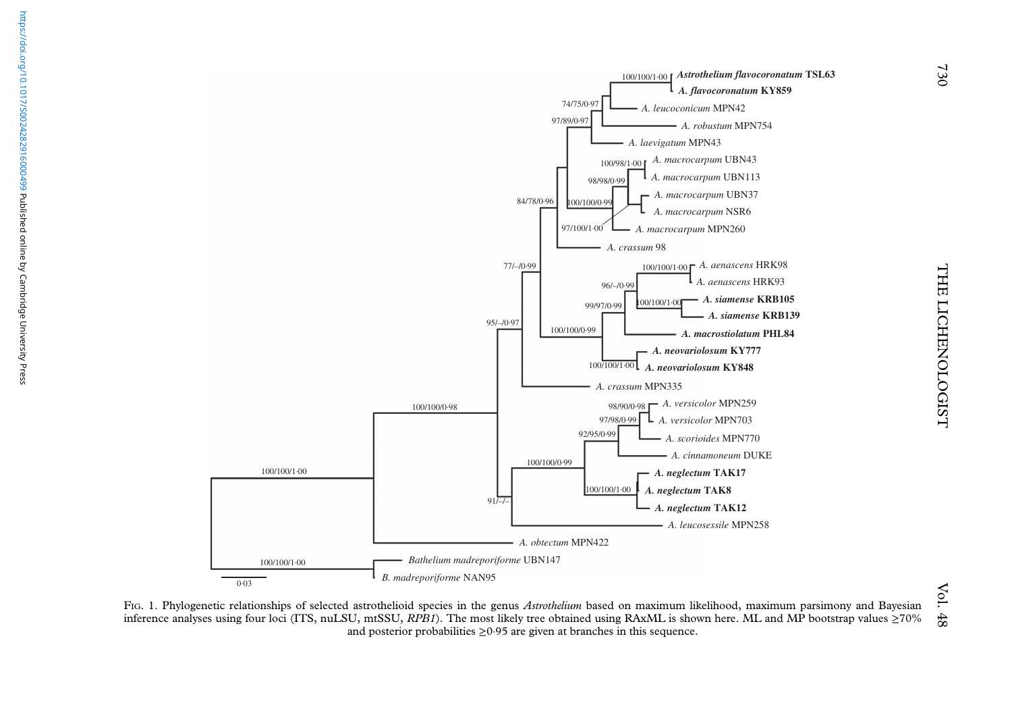<span id="page-3-0"></span>

Vol. 48 FIG. 1. Phylogenetic relationships of selected astrothelioid species in the genus Astrothelium based on maximum likelihood, maximum parsimony and Bayesian inference analyses using four loci (ITS, nuLSU, mtSSU, RPB1). The most likely tree obtained using RAxML is shown here. ML and MP bootstrap values  $\geq 70\%$ and posterior probabilities ≥0·95 are given at branches in this sequence.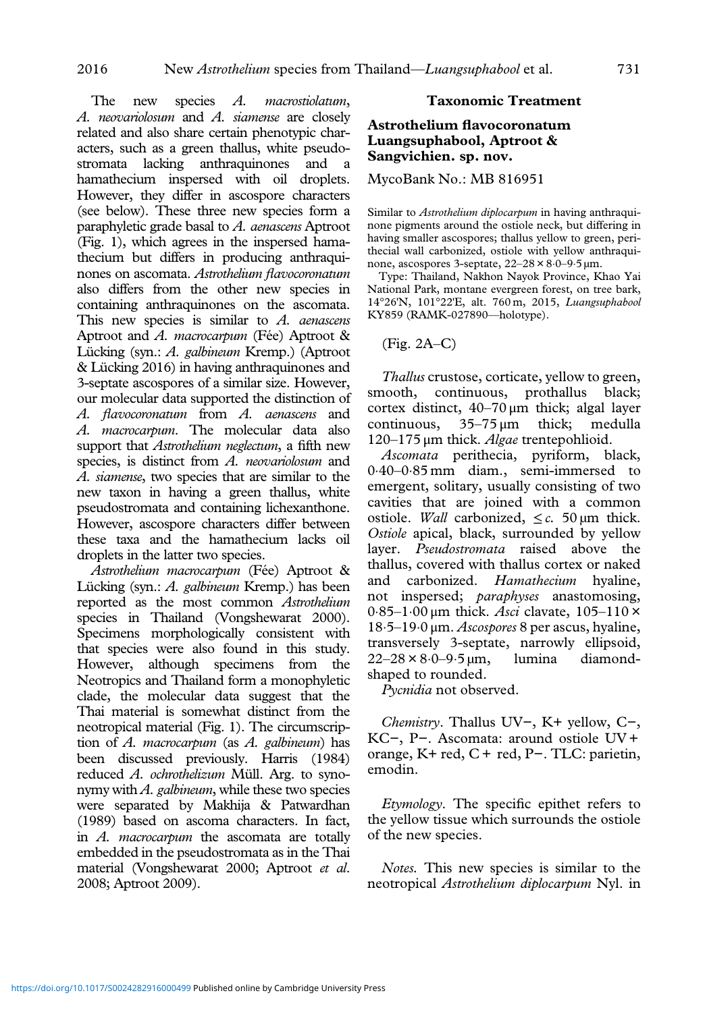The new species A. macrostiolatum, A. neovariolosum and A. siamense are closely related and also share certain phenotypic characters, such as a green thallus, white pseudostromata lacking anthraquinones and hamathecium inspersed with oil droplets. However, they differ in ascospore characters (see below). These three new species form a paraphyletic grade basal to A. aenascens Aptroot [\(Fig. 1](#page-3-0)), which agrees in the inspersed hamathecium but differs in producing anthraquinones on ascomata. Astrothelium flavocoronatum also differs from the other new species in containing anthraquinones on the ascomata. This new species is similar to  $A$ . aenascens Aptroot and A. macrocarpum (Fée) Aptroot & Lücking (syn.: A. galbineum Kremp.) (Aptroot & Lücking [2016\)](#page-9-0) in having anthraquinones and 3-septate ascospores of a similar size. However, our molecular data supported the distinction of A. flavocoronatum from A. aenascens and A. macrocarpum. The molecular data also support that Astrothelium neglectum, a fifth new species, is distinct from A. *neovariolosum* and A. siamense, two species that are similar to the new taxon in having a green thallus, white pseudostromata and containing lichexanthone. However, ascospore characters differ between these taxa and the hamathecium lacks oil droplets in the latter two species.

Astrothelium macrocarpum (Fée) Aptroot & Lücking (syn.: A. galbineum Kremp.) has been reported as the most common Astrothelium species in Thailand (Vongshewarat [2000\)](#page-10-0). Specimens morphologically consistent with that species were also found in this study. However, although specimens from the Neotropics and Thailand form a monophyletic clade, the molecular data suggest that the Thai material is somewhat distinct from the neotropical material [\(Fig. 1](#page-3-0)). The circumscription of A. macrocarpum (as A. galbineum) has been discussed previously. Harris [\(1984](#page-10-0)) reduced A. ochrothelizum Müll. Arg. to synonymy with  $A$ . galbineum, while these two species were separated by Makhija & Patwardhan [\(1989\)](#page-10-0) based on ascoma characters. In fact, in  $A$ . *macrocarpum* the ascomata are totally embedded in the pseudostromata as in the Thai material (Vongshewarat [2000](#page-10-0); Aptroot et al. [2008](#page-9-0); Aptroot [2009](#page-9-0)).

### Taxonomic Treatment

# Astrothelium flavocoronatum Luangsuphabool, Aptroot & Sangvichien. sp. nov.

MycoBank No.: MB 816951

Similar to Astrothelium diplocarpum in having anthraquinone pigments around the ostiole neck, but differing in having smaller ascospores; thallus yellow to green, perithecial wall carbonized, ostiole with yellow anthraquinone, ascospores 3-septate, 22–28 × 8·0–9·5 µm.

Type: Thailand, Nakhon Nayok Province, Khao Yai National Park, montane evergreen forest, on tree bark, 14°26'N, 101°22'E, alt. 760 m, 2015, Luangsuphabool KY859 (RAMK-027890—holotype).

#### ([Fig. 2A](#page-5-0)–C)

Thallus crustose, corticate, yellow to green, smooth, continuous, prothallus black; cortex distinct, 40–70 μm thick; algal layer continuous, 35–75 μm thick; medulla 120–175 μm thick. Algae trentepohlioid.

Ascomata perithecia, pyriform, black, 0·40–0·85 mm diam., semi-immersed to emergent, solitary, usually consisting of two cavities that are joined with a common ostiole. *Wall* carbonized,  $\lt c$ . 50  $\mu$ m thick. Ostiole apical, black, surrounded by yellow layer. Pseudostromata raised above the thallus, covered with thallus cortex or naked and carbonized. Hamathecium hyaline, not inspersed; paraphyses anastomosing,  $0.85-1.00 \,\text{\mu m}$  thick. Asci clavate,  $105-110 \times$ 18·5–19·0 μm. Ascospores 8 per ascus, hyaline, transversely 3-septate, narrowly ellipsoid,  $22-28 \times 8.0-9.5 \,\text{\mu m}$ , lumina diamondshaped to rounded.

Pycnidia not observed.

Chemistry. Thallus UV−, K+ yellow, C−, KC−, P−. Ascomata: around ostiole UV + orange, K+ red, C + red, P−. TLC: parietin, emodin.

Etymology. The specific epithet refers to the yellow tissue which surrounds the ostiole of the new species.

Notes. This new species is similar to the neotropical Astrothelium diplocarpum Nyl. in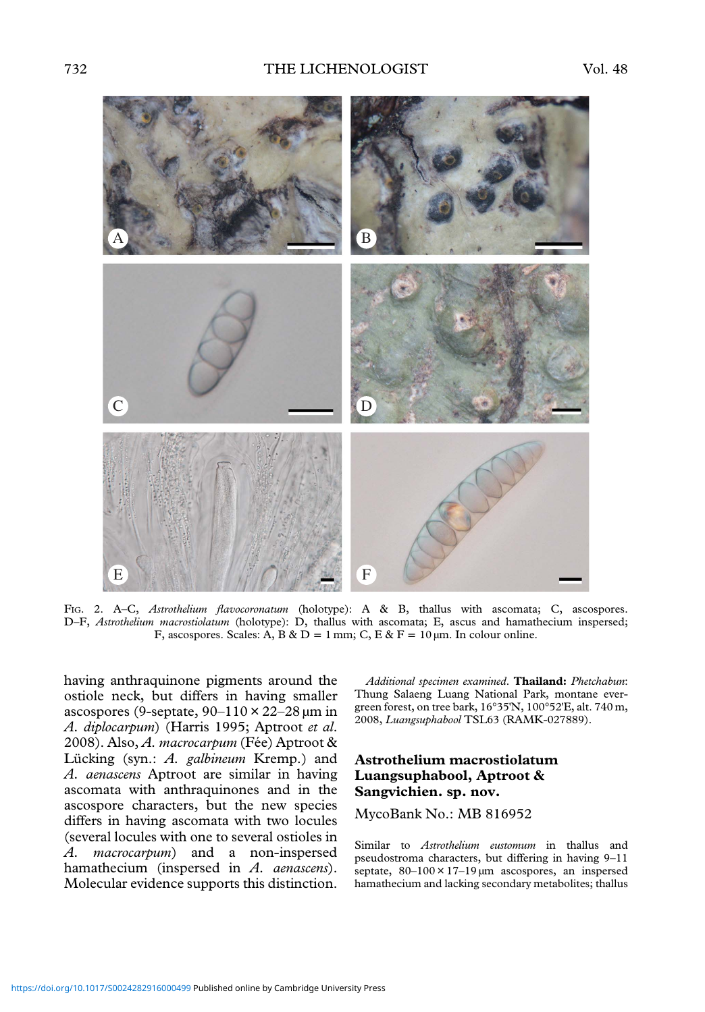<span id="page-5-0"></span>

FIG. 2. A–C, Astrothelium flavocoronatum (holotype): A & B, thallus with ascomata; C, ascospores. D–F, Astrothelium macrostiolatum (holotype): D, thallus with ascomata; E, ascus and hamathecium inspersed; F, ascospores. Scales: A, B & D = 1 mm; C, E & F = 10  $\mu$ m. In colour online.

having anthraquinone pigments around the ostiole neck, but differs in having smaller ascospores (9-septate,  $90-110 \times 22-28 \,\text{\ensuremath{\mu}m}$  in A. diplocarpum) (Harris [1995;](#page-10-0) Aptroot et al. [2008](#page-9-0)). Also, A. macrocarpum (Fée) Aptroot & Lücking (syn.: A. galbineum Kremp.) and A. aenascens Aptroot are similar in having ascomata with anthraquinones and in the ascospore characters, but the new species differs in having ascomata with two locules (several locules with one to several ostioles in A. *macrocarpum*) and a non-inspersed hamathecium (inspersed in A. aenascens). Molecular evidence supports this distinction.

Additional specimen examined. Thailand: Phetchabun: Thung Salaeng Luang National Park, montane evergreen forest, on tree bark, 16°35'N, 100°52'E, alt. 740 m, 2008, Luangsuphabool TSL63 (RAMK-027889).

# Astrothelium macrostiolatum Luangsuphabool, Aptroot & Sangvichien. sp. nov.

### MycoBank No.: MB 816952

Similar to Astrothelium eustomum in thallus and pseudostroma characters, but differing in having 9–11 septate,  $80-100 \times 17-19 \,\mu m$  ascospores, an inspersed hamathecium and lacking secondary metabolites; thallus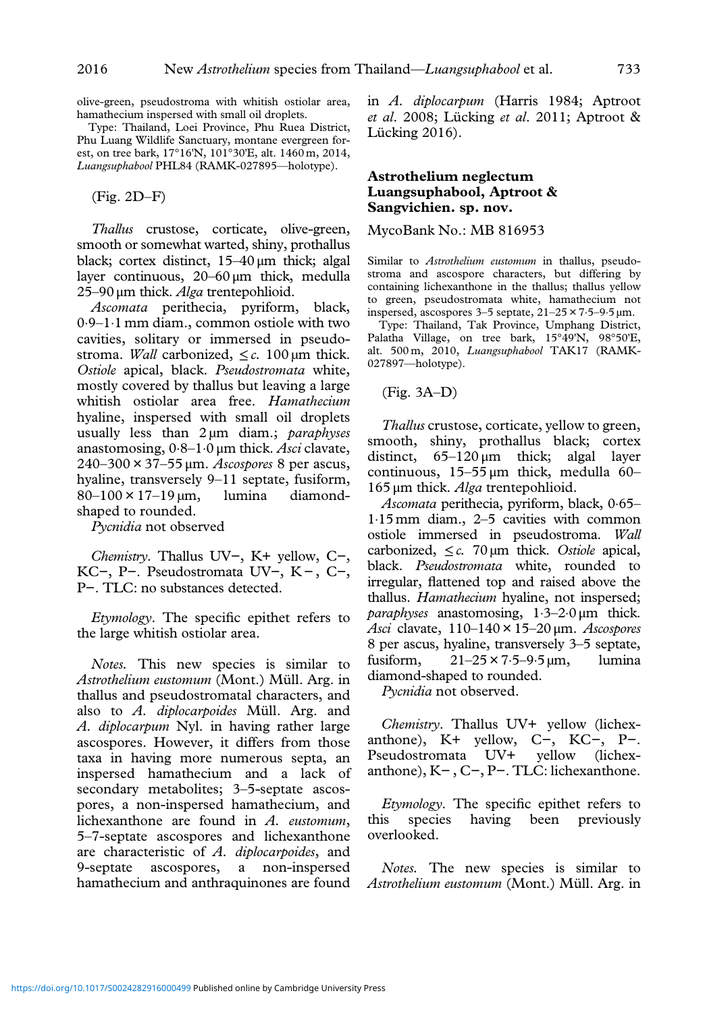olive-green, pseudostroma with whitish ostiolar area, hamathecium inspersed with small oil droplets.

Type: Thailand, Loei Province, Phu Ruea District, Phu Luang Wildlife Sanctuary, montane evergreen forest, on tree bark, 17°16'N, 101°30'E, alt. 1460 m, 2014, Luangsuphabool PHL84 (RAMK-027895—holotype).

([Fig. 2D](#page-5-0)–F)

Thallus crustose, corticate, olive-green, smooth or somewhat warted, shiny, prothallus black; cortex distinct, 15–40 μm thick; algal layer continuous, 20–60 μm thick, medulla 25–90 μm thick. Alga trentepohlioid.

Ascomata perithecia, pyriform, black, 0·9–1·1 mm diam., common ostiole with two cavities, solitary or immersed in pseudostroma. Wall carbonized,  $\leq c$ . 100 µm thick. Ostiole apical, black. Pseudostromata white, mostly covered by thallus but leaving a large whitish ostiolar area free. Hamathecium hyaline, inspersed with small oil droplets usually less than 2 um diam.; paraphyses anastomosing,  $0.8-1.0 \mu m$  thick. Asci clavate,  $240-300 \times 37-55 \,\mu m$ . Ascospores 8 per ascus, hyaline, transversely 9–11 septate, fusiform,  $80-100 \times 17-19 \,\mu m$ , lumina diamondshaped to rounded.

Pycnidia not observed

Chemistry. Thallus UV−, K+ yellow, C−, KC−, P−. Pseudostromata UV−, K−, C−, P−. TLC: no substances detected.

Etymology. The specific epithet refers to the large whitish ostiolar area.

Notes. This new species is similar to Astrothelium eustomum (Mont.) Müll. Arg. in thallus and pseudostromatal characters, and also to A. diplocarpoides Müll. Arg. and A. diplocarpum Nyl. in having rather large ascospores. However, it differs from those taxa in having more numerous septa, an inspersed hamathecium and a lack of secondary metabolites; 3–5-septate ascospores, a non-inspersed hamathecium, and lichexanthone are found in A. eustomum, 5–7-septate ascospores and lichexanthone are characteristic of A. diplocarpoides, and 9-septate ascospores, a non-inspersed hamathecium and anthraquinones are found in A. diplocarpum (Harris [1984;](#page-10-0) Aptroot et al. [2008;](#page-9-0) Lücking et al. [2011](#page-10-0); Aptroot & Lücking [2016\)](#page-9-0).

# Astrothelium neglectum Luangsuphabool, Aptroot & Sangvichien. sp. nov.

MycoBank No.: MB 816953

Similar to Astrothelium eustomum in thallus, pseudostroma and ascospore characters, but differing by containing lichexanthone in the thallus; thallus yellow to green, pseudostromata white, hamathecium not inspersed, ascospores 3–5 septate, 21–25 × 7·5–9·5 µm.

Type: Thailand, Tak Province, Umphang District, Palatha Village, on tree bark, 15°49'N, 98°50'E, alt. 500 m, 2010, Luangsuphabool TAK17 (RAMK-027897—holotype).

#### ([Fig. 3A](#page-7-0)–D)

Thallus crustose, corticate, yellow to green, smooth, shiny, prothallus black; cortex distinct, 65–120 μm thick; algal layer continuous, 15–55 μm thick, medulla 60– 165 μm thick. *Alga* trentepohlioid.

Ascomata perithecia, pyriform, black, 0·65– 1·15 mm diam., 2–5 cavities with common ostiole immersed in pseudostroma. Wall carbonized,  $\leq c$ . 70 µm thick. Ostiole apical, black. Pseudostromata white, rounded to irregular, flattened top and raised above the thallus. Hamathecium hyaline, not inspersed; paraphyses anastomosing, 1·3–2·0 μm thick. Asci clavate,  $110-140 \times 15-20 \,\text{\ensuremath{\mu}m}$ . Ascospores 8 per ascus, hyaline, transversely 3–5 septate, fusiform,  $21-25 \times 7.5-9.5 \,\mu m$ , lumina diamond-shaped to rounded.

Pycnidia not observed.

Chemistry. Thallus UV+ yellow (lichexanthone), K+ yellow, C−, KC−, P−. Pseudostromata UV+ yellow (lichexanthone), K− , C−, P−. TLC: lichexanthone.

Etymology. The specific epithet refers to this species having been previously overlooked.

Notes. The new species is similar to Astrothelium eustomum (Mont.) Müll. Arg. in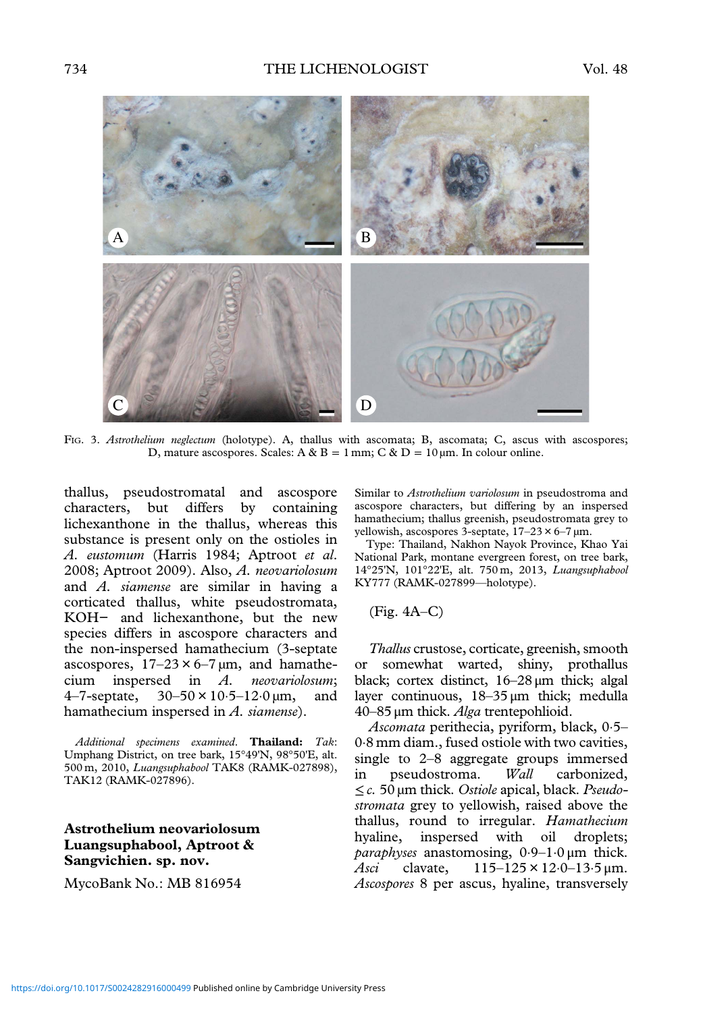<span id="page-7-0"></span>

FIG. 3. Astrothelium neglectum (holotype). A, thallus with ascomata; B, ascomata; C, ascus with ascospores; D, mature ascospores. Scales: A & B = 1 mm; C & D = 10  $\mu$ m. In colour online.

thallus, pseudostromatal and ascospore characters, but differs by containing lichexanthone in the thallus, whereas this substance is present only on the ostioles in A. eustomum (Harris [1984](#page-10-0); Aptroot et al. [2008](#page-9-0); Aptroot [2009\)](#page-9-0). Also, A. neovariolosum and A. siamense are similar in having a corticated thallus, white pseudostromata, KOH− and lichexanthone, but the new species differs in ascospore characters and the non-inspersed hamathecium (3-septate ascospores,  $17-23 \times 6-7 \,\text{\mu m}$ , and hamathecium inspersed in A. neovariolosum; 4–7-septate,  $30-50 \times 10.5-12.0 \,\text{\mu m}$ , and hamathecium inspersed in A. siamense).

Additional specimens examined. Thailand: Tak: Umphang District, on tree bark, 15°49'N, 98°50'E, alt. 500 m, 2010, Luangsuphabool TAK8 (RAMK-027898), TAK12 (RAMK-027896).

# Astrothelium neovariolosum Luangsuphabool, Aptroot & Sangvichien. sp. nov.

MycoBank No.: MB 816954

Similar to Astrothelium variolosum in pseudostroma and ascospore characters, but differing by an inspersed hamathecium; thallus greenish, pseudostromata grey to yellowish, ascospores 3-septate,  $17-23 \times 6-7$  µm.

Type: Thailand, Nakhon Nayok Province, Khao Yai National Park, montane evergreen forest, on tree bark, 14°25'N, 101°22'E, alt. 750 m, 2013, Luangsuphabool KY777 (RAMK-027899—holotype).

([Fig. 4A](#page-8-0)–C)

Thallus crustose, corticate, greenish, smooth or somewhat warted, shiny, prothallus black; cortex distinct, 16–28 μm thick; algal layer continuous, 18–35 μm thick; medulla 40–85 μm thick. Alga trentepohlioid.

Ascomata perithecia, pyriform, black, 0·5– 0·8 mm diam., fused ostiole with two cavities, single to 2–8 aggregate groups immersed in pseudostroma. Wall carbonized,  $\leq$  c. 50 µm thick. Ostiole apical, black. Pseudostromata grey to yellowish, raised above the thallus, round to irregular. Hamathecium hyaline, inspersed with oil droplets; paraphyses anastomosing,  $0.9-1.0 \mu m$  thick.<br>Asci clavate,  $115-125 \times 12.0-13.5 \mu m$ .  $115-125 \times 12.0-13.5 \,\mu m.$ Ascospores 8 per ascus, hyaline, transversely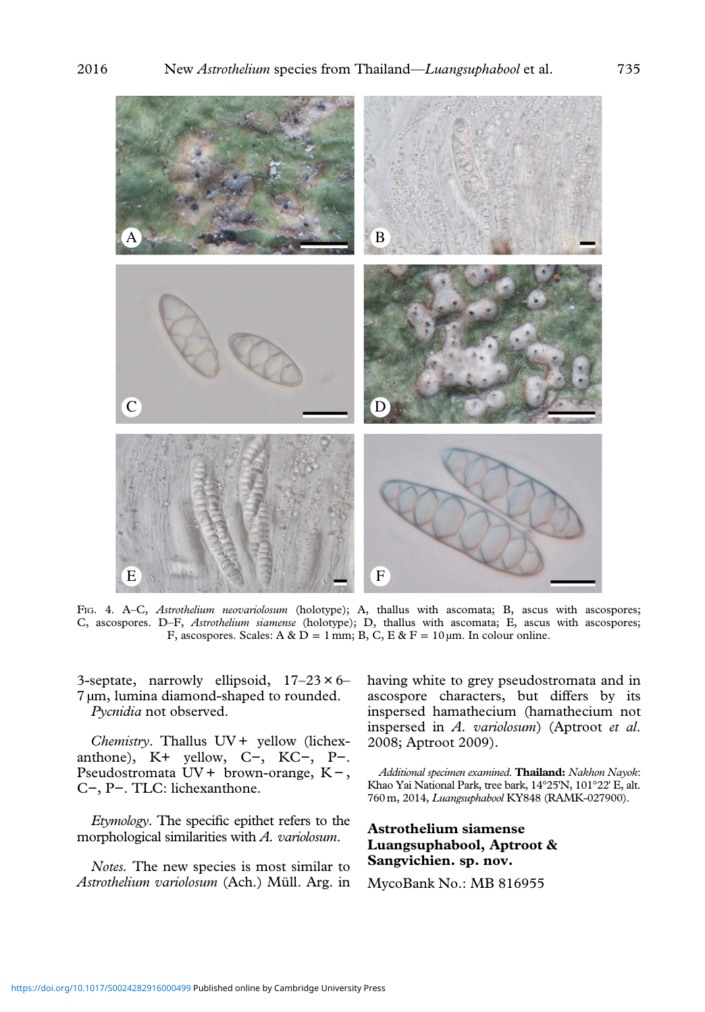<span id="page-8-0"></span>



FIG. 4. A–C, Astrothelium neovariolosum (holotype); A, thallus with ascomata; B, ascus with ascospores; C, ascospores. D–F, Astrothelium siamense (holotype); D, thallus with ascomata; E, ascus with ascospores; F, ascospores. Scales: A & D = 1 mm; B, C, E & F = 10 µm. In colour online.

3-septate, narrowly ellipsoid,  $17-23 \times 6-$ 7 µm, lumina diamond-shaped to rounded. Pycnidia not observed.

Chemistry. Thallus UV + yellow (lichexanthone), K+ yellow, C−, KC−, P−. Pseudostromata UV + brown-orange, K − , C−, P−. TLC: lichexanthone.

Etymology. The specific epithet refers to the morphological similarities with A. variolosum.

Notes. The new species is most similar to Astrothelium variolosum (Ach.) Müll. Arg. in having white to grey pseudostromata and in ascospore characters, but differs by its inspersed hamathecium (hamathecium not inspersed in A. variolosum) (Aptroot et al. [2008;](#page-9-0) Aptroot [2009](#page-9-0)).

Additional specimen examined. Thailand: Nakhon Nayok: Khao Yai National Park, tree bark, 14°25'N, 101°22' E, alt. 760m, 2014, Luangsuphabool KY848 (RAMK-027900).

# Astrothelium siamense Luangsuphabool, Aptroot & Sangvichien. sp. nov.

MycoBank No.: MB 816955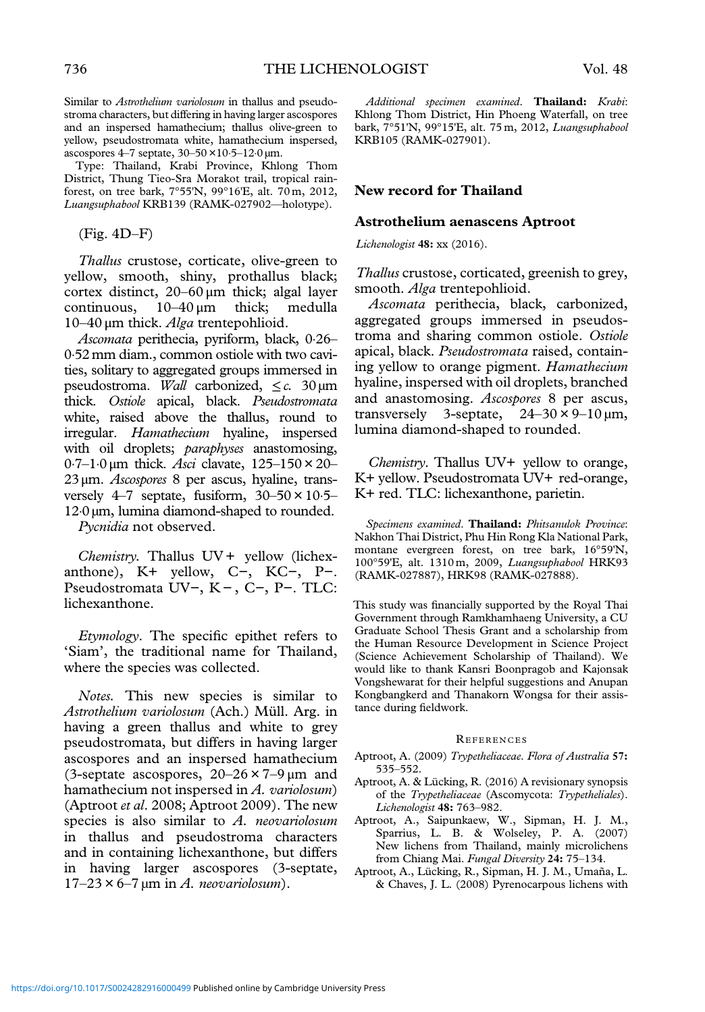<span id="page-9-0"></span>Similar to Astrothelium variolosum in thallus and pseudostroma characters, but differing in having larger ascospores and an inspersed hamathecium; thallus olive-green to yellow, pseudostromata white, hamathecium inspersed, ascospores  $4-7$  septate,  $30-50 \times 10.5-12.0 \,\mu$ m.

Type: Thailand, Krabi Province, Khlong Thom District, Thung Tieo-Sra Morakot trail, tropical rainforest, on tree bark, 7°55'N, 99°16'E, alt. 70 m, 2012, Luangsuphabool KRB139 (RAMK-027902—holotype).

([Fig. 4D](#page-8-0)–F)

Thallus crustose, corticate, olive-green to yellow, smooth, shiny, prothallus black; cortex distinct, 20–60 μm thick; algal layer continuous, 10–40 μm thick; medulla 10–40 μm thick. *Alga* trentepohlioid.

Ascomata perithecia, pyriform, black, 0·26– 0·52 mm diam., common ostiole with two cavities, solitary to aggregated groups immersed in pseudostroma. Wall carbonized,  $\leq c$ . 30 µm thick. Ostiole apical, black. Pseudostromata white, raised above the thallus, round to irregular. Hamathecium hyaline, inspersed with oil droplets; *paraphyses* anastomosing,  $0.7-1.0 \,\text{\mu m}$  thick. Asci clavate,  $125-150 \times 20-$ 23 μm. Ascospores 8 per ascus, hyaline, transversely 4–7 septate, fusiform,  $30-50 \times 10.5$ – 12·0 µm, lumina diamond-shaped to rounded.

Pycnidia not observed.

Chemistry. Thallus UV + yellow (lichexanthone), K+ yellow, C−, KC−, P−. Pseudostromata UV−, K − , C−, P−. TLC: lichexanthone.

Etymology. The specific epithet refers to 'Siam', the traditional name for Thailand, where the species was collected.

Notes. This new species is similar to Astrothelium variolosum (Ach.) Müll. Arg. in having a green thallus and white to grey pseudostromata, but differs in having larger ascospores and an inspersed hamathecium (3-septate ascospores,  $20-26 \times 7-9 \,\mu m$  and hamathecium not inspersed in A. variolosum) (Aptroot et al. 2008; Aptroot 2009). The new species is also similar to  $A$ . neovariolosum in thallus and pseudostroma characters and in containing lichexanthone, but differs in having larger ascospores (3-septate,  $17-23 \times 6-7$  µm in A. neovariolosum).

Additional specimen examined. Thailand: Krabi: Khlong Thom District, Hin Phoeng Waterfall, on tree bark, 7°51'N, 99°15'E, alt. 75 m, 2012, Luangsuphabool KRB105 (RAMK-027901).

# New record for Thailand

#### Astrothelium aenascens Aptroot

Lichenologist 48: xx (2016).

Thallus crustose, corticated, greenish to grey, smooth. Alga trentepohlioid.

Ascomata perithecia, black, carbonized, aggregated groups immersed in pseudostroma and sharing common ostiole. Ostiole apical, black. Pseudostromata raised, containing yellow to orange pigment. Hamathecium hyaline, inspersed with oil droplets, branched and anastomosing. Ascospores 8 per ascus, transversely 3-septate,  $24-30 \times 9-10 \,\mu m$ , lumina diamond-shaped to rounded.

Chemistry. Thallus UV+ yellow to orange, K+ yellow. Pseudostromata UV+ red-orange, K+ red. TLC: lichexanthone, parietin.

Specimens examined. Thailand: Phitsanulok Province: Nakhon Thai District, Phu Hin Rong Kla National Park, montane evergreen forest, on tree bark, 16°59'N, 100°59'E, alt. 1310 m, 2009, Luangsuphabool HRK93 (RAMK-027887), HRK98 (RAMK-027888).

This study was financially supported by the Royal Thai Government through Ramkhamhaeng University, a CU Graduate School Thesis Grant and a scholarship from the Human Resource Development in Science Project (Science Achievement Scholarship of Thailand). We would like to thank Kansri Boonpragob and Kajonsak Vongshewarat for their helpful suggestions and Anupan Kongbangkerd and Thanakorn Wongsa for their assistance during fieldwork.

#### **REFERENCES**

- Aptroot, A. (2009) Trypetheliaceae. Flora of Australia 57: 535–552.
- Aptroot, A. & Lücking, R. (2016) A revisionary synopsis of the Trypetheliaceae (Ascomycota: Trypetheliales). Lichenologist 48: 763–982.
- Aptroot, A., Saipunkaew, W., Sipman, H. J. M., Sparrius, L. B. & Wolseley, P. A. (2007) New lichens from Thailand, mainly microlichens from Chiang Mai. Fungal Diversity 24: 75–134.
- Aptroot, A., Lücking, R., Sipman, H. J. M., Umaña, L. & Chaves, J. L. (2008) Pyrenocarpous lichens with